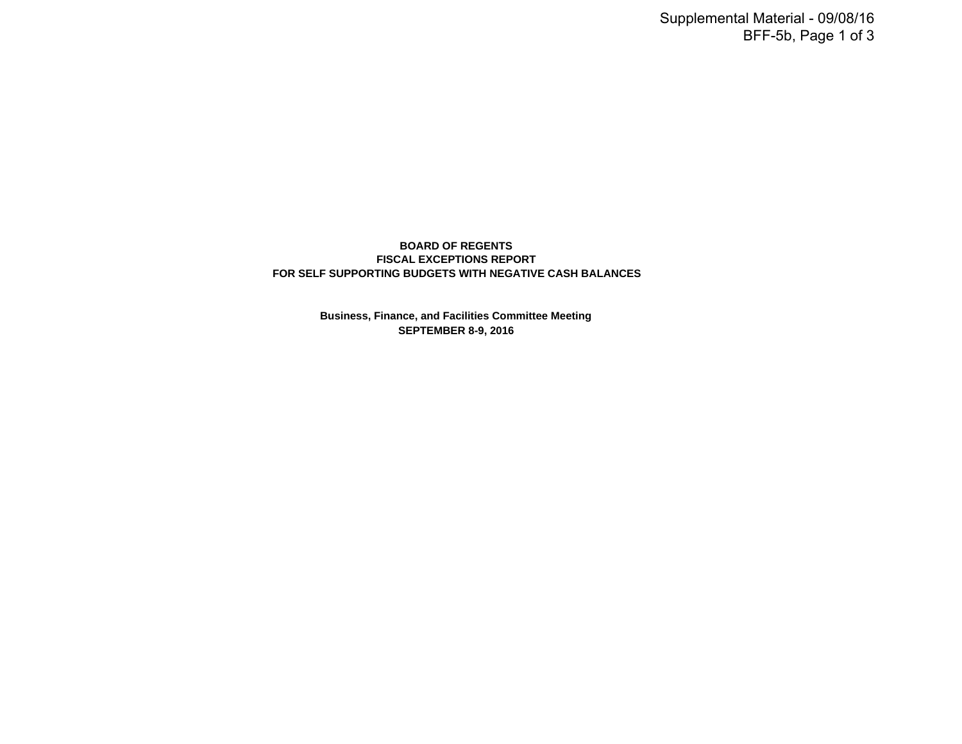# **BOARD OF REGENTS FISCAL EXCEPTIONS REPORT FOR SELF SUPPORTING BUDGETS WITH NEGATIVE CASH BALANCES**

**Business, Finance, and Facilities Committee Meeting SEPTEMBER 8-9, 2016**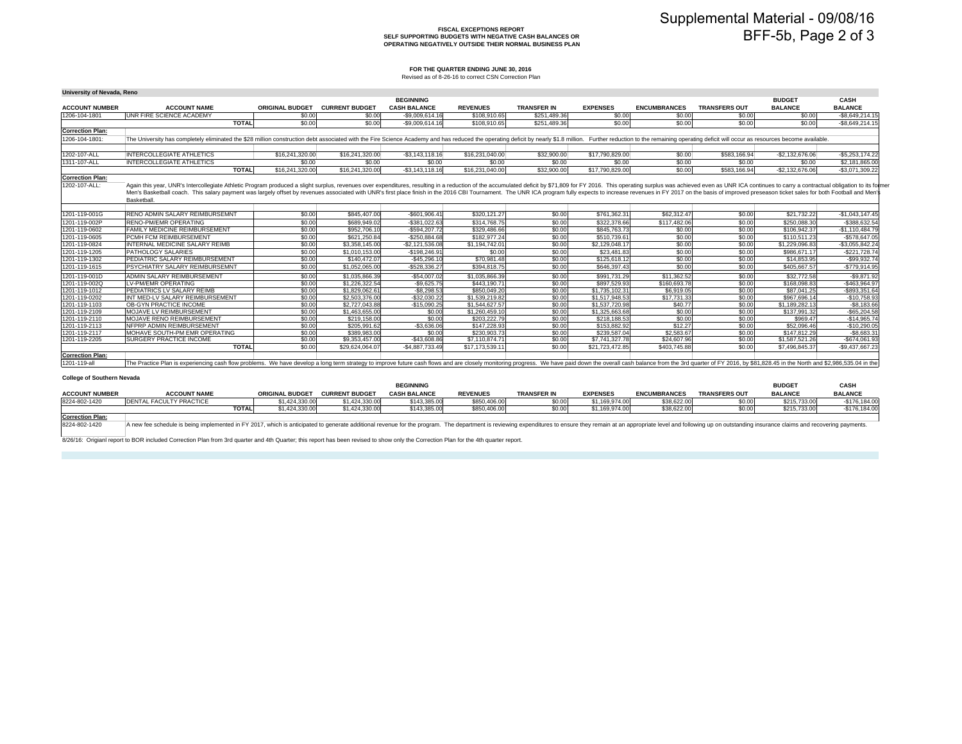#### **FISCAL EXCEPTIONS REPORT SELF SUPPORTING BUDGETS WITH NEGATIVE CASH BALANCES OROPERATING NEGATIVELY OUTSIDE THEIR NORMAL BUSINESS PLAN**

#### **FOR THE QUARTER ENDING JUNE 30, 2016**

Revised as of 8-26-16 to correct CSN Correction Plan

| University of Nevada, Reno        |                                                                                                                                                                                                                                  |              |                        |                       |                     |                 |                    |                 |                     |                      |                  |                  |
|-----------------------------------|----------------------------------------------------------------------------------------------------------------------------------------------------------------------------------------------------------------------------------|--------------|------------------------|-----------------------|---------------------|-----------------|--------------------|-----------------|---------------------|----------------------|------------------|------------------|
|                                   |                                                                                                                                                                                                                                  |              |                        |                       | <b>BEGINNING</b>    |                 |                    |                 |                     |                      | <b>BUDGET</b>    | CASH             |
| <b>ACCOUNT NUMBER</b>             | <b>ACCOUNT NAME</b>                                                                                                                                                                                                              |              | <b>ORIGINAL BUDGET</b> | <b>CURRENT BUDGET</b> | <b>CASH BALANCE</b> | <b>REVENUES</b> | <b>TRANSFER IN</b> | <b>EXPENSES</b> | <b>ENCUMBRANCES</b> | <b>TRANSFERS OUT</b> | <b>BALANCE</b>   | <b>BALANCE</b>   |
| 1206-104-1801                     | UNR FIRE SCIENCE ACADEMY                                                                                                                                                                                                         |              | \$0.00                 | \$0.00                | $-$9,009,614.16$    | \$108,910.65    | \$251,489.36       | \$0.00          | \$0.00              | \$0.00               | \$0.00           | $-$8.649.214.15$ |
|                                   |                                                                                                                                                                                                                                  | <b>TOTAL</b> | \$0.00                 | \$0.00                | $-$9.009.614.16$    | \$108.910.65    | \$251,489.36       | \$0.00          | \$0.00              | \$0.00               | \$0.00           | $-$8.649.214.15$ |
| <b>Correction Plan:</b>           |                                                                                                                                                                                                                                  |              |                        |                       |                     |                 |                    |                 |                     |                      |                  |                  |
| 1206-104-1801:                    | The University has completely eliminated the \$28 million construction debt associated with the Fire Science Academy and has reduced the operating deficit by nearly \$1.8 million. Further reduction to the remaining operating |              |                        |                       |                     |                 |                    |                 |                     |                      |                  |                  |
|                                   |                                                                                                                                                                                                                                  |              |                        |                       |                     |                 |                    |                 |                     |                      |                  |                  |
| 1202-107-ALL                      | <b>INTERCOLLEGIATE ATHLETICS</b>                                                                                                                                                                                                 |              | \$16,241,320.00        | \$16,241,320.00       | $-$3.143.118.16$    | \$16,231,040,00 | \$32,900.00        | \$17,790,829.00 | \$0.00              | \$583,166,94         | $-$2.132.676.06$ | $-$5.253.174.22$ |
| 1311-107-ALL                      | <b>INTERCOLLEGIATE ATHLETICS</b>                                                                                                                                                                                                 |              | \$0.00                 | \$0.00                | \$0.00              | \$0.00          | \$0.00             | \$0.00          | \$0.00              | \$0.00               | \$0.00           | \$2,181,865,00   |
|                                   |                                                                                                                                                                                                                                  | <b>TOTAL</b> | \$16,241,320.00        | \$16,241,320.00       | $-$3,143,118.16$    | \$16,231,040.00 | \$32,900.00        | \$17,790,829.00 | \$0.00              | \$583,166.94         | $-$2,132,676.06$ | $-$3,071,309.22$ |
| <b>Correction Plan:</b>           |                                                                                                                                                                                                                                  |              |                        |                       |                     |                 |                    |                 |                     |                      |                  |                  |
| 1202-107-ALL:                     |                                                                                                                                                                                                                                  |              |                        |                       |                     |                 |                    |                 |                     |                      |                  |                  |
|                                   | Again this year, UNR's Intercollegiate Athletic Program produced a slight surplus, revenues over expenditures, resulting in a reduction of the accumulated deficit by \$71,809 for FY 2016. This operating surplus was achieved  |              |                        |                       |                     |                 |                    |                 |                     |                      |                  |                  |
|                                   | Men's Basketball coach. This salary payment was largely offset by revenues associated with UNR's first place finish in the 2016 CBI Tournament. The UNR ICA program fully expects to increase revenues in FY 2017 on the basis   |              |                        |                       |                     |                 |                    |                 |                     |                      |                  |                  |
|                                   | Basketball.                                                                                                                                                                                                                      |              |                        |                       |                     |                 |                    |                 |                     |                      |                  |                  |
|                                   |                                                                                                                                                                                                                                  |              |                        |                       |                     |                 |                    |                 |                     |                      |                  |                  |
| 1201-119-001G                     | <b>RENO ADMIN SALARY REIMBURSEMNT</b>                                                                                                                                                                                            |              | \$0.00                 | \$845,407.00          | $-$601.906.41$      | \$320.121.27    | \$0.00             | \$761,362.31    | \$62,312.47         | \$0.00               | \$21,732,22      | $-$1.043.147.45$ |
| 1201-119-002P                     | RENO-PM/EMR OPERATING                                                                                                                                                                                                            |              | \$0.00                 | \$689,949.02          | $-$381.022.63$      | \$314,768.75    | \$0.00             | \$322,378,66    | \$117,482.06        | \$0.00               | \$250.088.30     | -\$388.632.54    |
| 1201-119-0602                     | FAMILY MEDICINE REIMBURSEMENT                                                                                                                                                                                                    |              | \$0.00                 | \$952,706.10          | $-$594.207.72$      | \$329,486.66    | \$0.00             | \$845,763,73    | \$0.00              | \$0.00               | \$106.942.37     | $-$1,110,484.79$ |
| 1201-119-0605                     | PCMH FCM REIMBURSEMENT                                                                                                                                                                                                           |              | \$0.00                 | \$621,250.84          | $-$ \$250.884.68    | \$182,977,24    | \$0.00             | \$510,739.61    | \$0.00              | \$0.00               | \$110,511.23     | -\$578.647.05    |
| 1201-119-0824                     | INTERNAL MEDICINE SALARY REIMB                                                                                                                                                                                                   |              | \$0.00                 | \$3,358,145,00        | $-$2.121.536.08$    | \$1,194,742.01  | \$0.00             | \$2,129,048.17  | \$0.00              | \$0.00               | \$1,229,096.83   | $-$3.055.842.24$ |
| 1201-119-1205                     | PATHOLOGY SALARIES                                                                                                                                                                                                               |              | \$0.00                 | \$1,010,153.00        | $-$198,246.91$      | \$0.00          | \$0.00             | \$23,481.83     | \$0.00              | \$0.00               | \$986,671.17     | $-$221.728.74$   |
| 1201-119-1302                     | PEDIATRIC SALARY REIMBURSEMENT                                                                                                                                                                                                   |              | \$0.00                 | \$140,472.07          | $-$45,296.10$       | \$70,981.48     | \$0.00             | \$125,618.12    | \$0.00              | \$0.00               | \$14,853,95      | $-$ \$99.932.74  |
| 1201-119-1615                     | PSYCHIATRY SALARY REIMBURSEMNT                                                                                                                                                                                                   |              | \$0.00                 | \$1,052,065,00        | -\$528.336.27       | \$394.818.75    | \$0.00             | \$646,397.43    | \$0.00              | \$0.00               | \$405,667.57     | $-$779.914.95$   |
| 1201-119-001D                     | ADMIN SALARY REIMBURSEMENT                                                                                                                                                                                                       |              | \$0.00                 | \$1,035,866,39        | $-$54.007.02$       | \$1,035,866.39  | \$0.00             | \$991.731.29    | \$11.362.52         | \$0.00               | \$32,772.58      | $-$9.871.92$     |
| 1201-119-002Q                     | LV-PM/EMR OPERATING                                                                                                                                                                                                              |              | \$0.00                 | \$1,226,322.54        | $-$9,625.75$        | \$443,190.71    | \$0.00             | \$897,529.93    | \$160,693.78        | \$0.00               | \$168,098.83     | -\$463,964.97    |
| 1201-119-1012                     | PEDIATRICS LV SALARY REIMB                                                                                                                                                                                                       |              | \$0.00                 | \$1,829,062.61        | $-$8.298.53$        | \$850,049.20    | \$0.00             | \$1,735,102.3   | \$6.919.05          | \$0.00               | \$87,041.25      | -\$893.351.64    |
| 1201-119-0202                     | INT MED-LV SALARY REIMBURSEMENT                                                                                                                                                                                                  |              | \$0.00                 | \$2,503,376,00        | $-$32.030.22$       | \$1,539,219.82  | \$0.00             | \$1.517.948.53  | \$17,731,33         | \$0.00               | \$967,696.14     | $-$10.758.93$    |
| 1201-119-1103                     | OB-GYN PRACTICE INCOME                                                                                                                                                                                                           |              | \$0.00                 | \$2,727,043,88        | $-$15.090.25$       | \$1,544,627.57  | \$0.00             | \$1,537,720.98  | \$40,77             | \$0.00               | \$1,189,282,13   | $-$8.183.66$     |
| 1201-119-2109                     | MOJAVE LV REIMBURSEMENT                                                                                                                                                                                                          |              | \$0.00                 | \$1,463,655.00        | \$0.00              | \$1,260,459.10  | \$0.00             | \$1,325,663.68  | \$0.00              | \$0.00               | \$137,991.32     | $-$65,204.58$    |
| 1201-119-2110                     | MOJAVE RENO REIMBURSEMENT                                                                                                                                                                                                        |              | \$0.00                 | \$219,158,00          | \$0.00              | \$203,222,79    | \$0.00             | \$218,188,53    | \$0.00              | \$0.00               | \$969.47         | $-$14.965.74$    |
| 1201-119-2113                     | NFPRP ADMIN REIMBURSEMENT                                                                                                                                                                                                        |              | \$0.00                 | \$205.991.62          | $-$3.636.06$        | \$147,228,93    | \$0.00             | \$153,882.92    | \$12,27             | \$0.00               | \$52,096.46      | $-$10.290.05$    |
| 1201-119-2117                     | MOHAVE SOUTH-PM EMR OPERATING                                                                                                                                                                                                    |              | \$0.00                 | \$389,983,00          | \$0.00              | \$230,903.73    | \$0.00             | \$239,587.04    | \$2,583.67          | \$0.00               | \$147,812.29     | $-$8.683.31$     |
| 1201-119-2205                     | SURGERY PRACTICE INCOME                                                                                                                                                                                                          |              | \$0.00                 | \$9,353,457.00        | $-$43,608.86$       | \$7,110,874.71  | \$0.00             | \$7,741,327.78  | \$24,607.96         | \$0.00               | \$1,587,521.26   | $-$674,061.93$   |
|                                   |                                                                                                                                                                                                                                  | <b>TOTAL</b> | \$0.00                 | \$29,624,064.07       | $-$4,887,733.49$    | \$17,173,539.11 | \$0.00             | \$21,723,472.85 | \$403,745.88        | \$0.00               | \$7,496,845.37   | $-$9,437,667.23$ |
| <b>Correction Plan:</b>           |                                                                                                                                                                                                                                  |              |                        |                       |                     |                 |                    |                 |                     |                      |                  |                  |
| 1201-119-all                      | The Practice Plan is experiencing cash flow problems. We have develop a long term strategy to improve future cash flows and are closely monitoring progress. We have paid down the overall cash balance from the 3rd quarter o   |              |                        |                       |                     |                 |                    |                 |                     |                      |                  |                  |
|                                   |                                                                                                                                                                                                                                  |              |                        |                       |                     |                 |                    |                 |                     |                      |                  |                  |
|                                   |                                                                                                                                                                                                                                  |              |                        |                       |                     |                 |                    |                 |                     |                      |                  |                  |
| <b>College of Southern Nevada</b> |                                                                                                                                                                                                                                  |              |                        |                       |                     |                 |                    |                 |                     |                      |                  |                  |
|                                   |                                                                                                                                                                                                                                  |              |                        |                       | <b>BEGINNING</b>    |                 |                    |                 |                     |                      | <b>BUDGET</b>    | CASH             |

|                       |                     |              |                        |                       | <b>BEGINNING</b>    |                |                    |                 |                     |                      | <b>BUDGE</b>   | CASH           |
|-----------------------|---------------------|--------------|------------------------|-----------------------|---------------------|----------------|--------------------|-----------------|---------------------|----------------------|----------------|----------------|
| <b>ACCOUNT NUMBER</b> | <b>ACCOUNT NAME</b> |              | <b>ORIGINAL BUDGET</b> | <b>CURRENT BUDGET</b> | <b>CASH BALANCE</b> | <b>REVENUE</b> | <b>TRANSFER IN</b> | <b>EXPENSES</b> | <b>ENCUMBRANCES</b> | <b>TRANSFERS OUT</b> | <b>BALANCE</b> | <b>BALANCI</b> |
| 8224-802-1420         | TV DD ACTIC         |              | 424.330.0              | 1.424.330.00          | \$143,385,00        | \$850.406.     | \$0.00             | 169.974.00      | \$38,622.00         | $\sim$ $\sim$        | \$215,733.00   | \$176,184.00   |
|                       |                     | <b>TOTAI</b> | 330.0                  | 1,424,330.00          | \$143,385,00        | 2010.02        | \$0.00             | \$1.169.974.00  | \$38,622.00         | $\sim$ $\sim$        | \$215,733.00   | \$176.184.00   |
|                       |                     |              |                        |                       |                     |                |                    |                 |                     |                      |                |                |

**Correction Plan:** 8224-802-1420A new fee schedule is being implemented in FY 2017, which is anticipated to generate additional revenue for the program. The department is reviewing expenditures to ensure they remain at an appropriate level and following

8/26/16: Origianl report to BOR included Correction Plan from 3rd quarter and 4th Quarter; this report has been revised to show only the Correction Plan for the 4th quarter report.